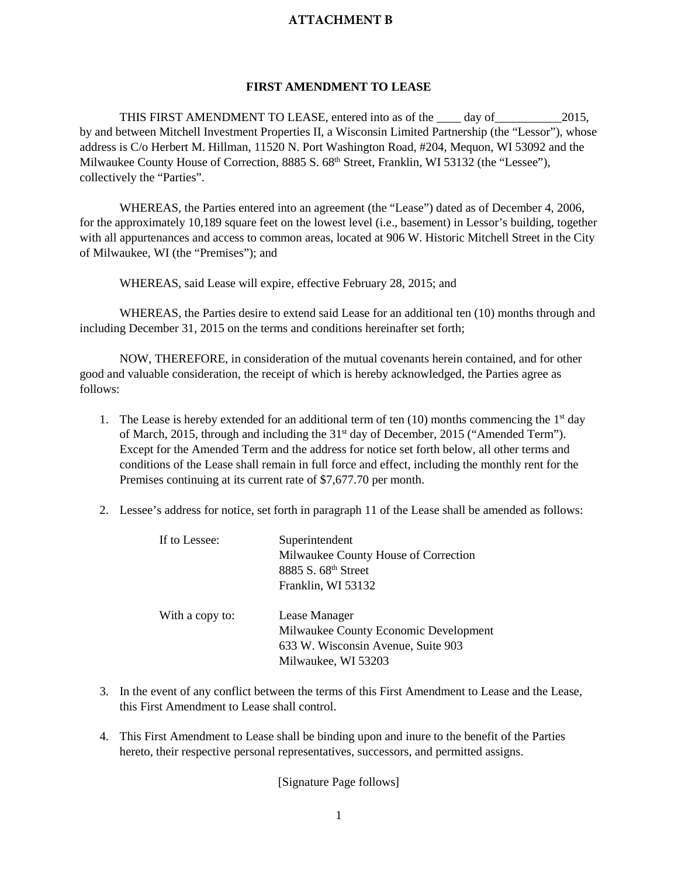## **ATTACHMENT B**

## **FIRST AMENDMENT TO LEASE**

THIS FIRST AMENDMENT TO LEASE, entered into as of the day of 2015, by and between Mitchell Investment Properties II, a Wisconsin Limited Partnership (the "Lessor"), whose address is C/o Herbert M. Hillman, 11520 N. Port Washington Road, #204, Mequon, WI 53092 and the Milwaukee County House of Correction, 8885 S. 68<sup>th</sup> Street, Franklin, WI 53132 (the "Lessee"), collectively the "Parties".

WHEREAS, the Parties entered into an agreement (the "Lease") dated as of December 4, 2006, for the approximately 10,189 square feet on the lowest level (i.e., basement) in Lessor's building, together with all appurtenances and access to common areas, located at 906 W. Historic Mitchell Street in the City of Milwaukee, WI (the "Premises"); and

WHEREAS, said Lease will expire, effective February 28, 2015; and

WHEREAS, the Parties desire to extend said Lease for an additional ten (10) months through and including December 31, 2015 on the terms and conditions hereinafter set forth;

NOW, THEREFORE, in consideration of the mutual covenants herein contained, and for other good and valuable consideration, the receipt of which is hereby acknowledged, the Parties agree as follows:

- 1. The Lease is hereby extended for an additional term of ten  $(10)$  months commencing the 1<sup>st</sup> day of March, 2015, through and including the 31<sup>st</sup> day of December, 2015 ("Amended Term"). Except for the Amended Term and the address for notice set forth below, all other terms and conditions of the Lease shall remain in full force and effect, including the monthly rent for the Premises continuing at its current rate of \$7,677.70 per month.
- 2. Lessee's address for notice, set forth in paragraph 11 of the Lease shall be amended as follows:

| If to Lessee:   | Superintendent<br>Milwaukee County House of Correction<br>8885 S. 68th Street<br>Franklin, WI 53132                 |
|-----------------|---------------------------------------------------------------------------------------------------------------------|
| With a copy to: | Lease Manager<br>Milwaukee County Economic Development<br>633 W. Wisconsin Avenue, Suite 903<br>Milwaukee, WI 53203 |

- 3. In the event of any conflict between the terms of this First Amendment to Lease and the Lease, this First Amendment to Lease shall control.
- 4. This First Amendment to Lease shall be binding upon and inure to the benefit of the Parties hereto, their respective personal representatives, successors, and permitted assigns.

[Signature Page follows]